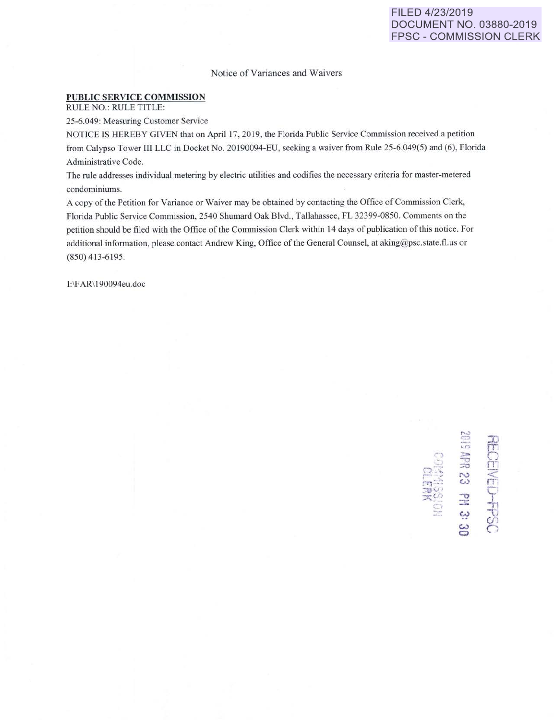## Notice of Variances and Waivers

## **PUBLIC SERVICE COMMISSION**

RULE NO.: RULE TITLE:

25-6.049: Measuring Customer Service

NOTICE IS HEREBY GIVEN that on April 17, 2019, the Florida Public Service Commission received a petition from Calypso Tower III LLC in Docket No. 20190094-EU, seeking a waiver from Rule 25-6.049(5) and (6), Florida Administrative Code.

The rule addresses individual metering by electric utilities and codifies the necessary criteria for master-metered condominiums.

A copy of the Petition for Variance or Waiver may be obtained by contacting the Office of Commission Clerk, Florida Public Service Commission, 2540 Shumard Oak Blvd., Tallahassee, FL 32399-0850. Comments on the petition should be filed with the Office of the Commission Clerk within 14 days of publication of this notice. For additional information, please contact Andrew King, Office of the General Counsel, at aking@psc.state.fl.us or (850) 413-6195.

I:\FAR\190094eu.doc

'~ =  $\sqrt{2}$  $\frac{10}{100}$   $\frac{12}{100}$  $=$   $\frac{1}{2}$  $\frac{1}{2}$   $\frac{1}{2}$   $\frac{1}{2}$ w :n r:n  $\Omega$  $\widetilde{\mathbb{T}}$  $\frac{1}{11}$  $\mathbf{U}$  $\mathcal{G}$ 

**0** 

. ~ .. ...

**;u-\.**